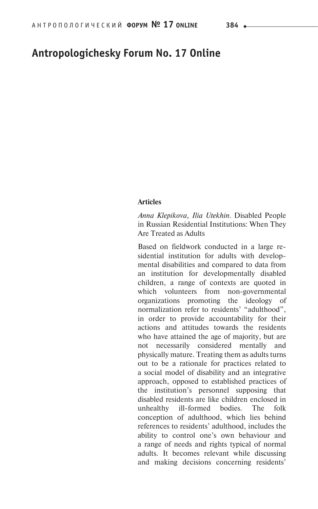# **Antropologichesky Forum No. 17 Online**

#### **Articles**

*Anna Klepikova, Ilia Utekhin.* Disabled People in Russian Residential Institutions: When They Are Treated as Adults

Based on fieldwork conducted in a large residential institution for adults with developmental disabilities and compared to data from an institution for developmentally disabled children, a range of contexts are quoted in which volunteers from non-governmental organizations promoting the ideology of normalization refer to residents' "adulthood", in order to provide accountability for their actions and attitudes towards the residents who have attained the age of majority, but are not necessarily considered mentally and physically mature. Treating them as adults turns out to be a rationale for practices related to a social model of disability and an integrative approach, opposed to established practices of the institution's personnel supposing that disabled residents are like children enclosed in unhealthy ill-formed bodies. The folk conception of adulthood, which lies behind references to residents' adulthood, includes the ability to control one's own behaviour and a range of needs and rights typical of normal adults. It becomes relevant while discussing and making decisions concerning residents'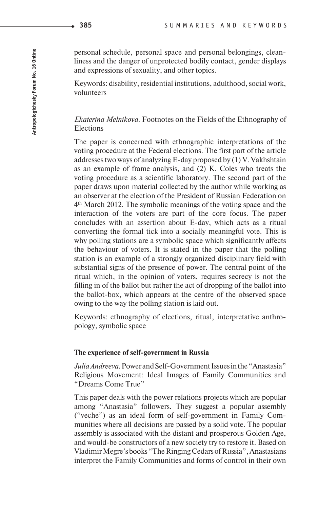personal schedule, personal space and personal belongings, cleanliness and the danger of unprotected bodily contact, gender displays and expressions of sexuality, and other topics.

Keywords: disability, residential institutions, adulthood, social work, volunteers

## *Ekaterina Melnikova.* Footnotes on the Fields of the Ethnography of Elections

The paper is concerned with ethnographic interpretations of the voting procedure at the Federal elections. The first part of the article addresses two ways of analyzing E-day proposed by (1) V. Vakhshtain as an example of frame analysis, and (2) K. Coles who treats the voting procedure as a scientific laboratory. The second part of the paper draws upon material collected by the author while working as an observer at the election of the President of Russian Federation on 4th March 2012. The symbolic meanings of the voting space and the interaction of the voters are part of the core focus. The paper concludes with an assertion about E-day, which acts as a ritual converting the formal tick into a socially meaningful vote. This is why polling stations are a symbolic space which significantly affects the behaviour of voters. It is stated in the paper that the polling station is an example of a strongly organized disciplinary field with substantial signs of the presence of power. The central point of the ritual which, in the opinion of voters, requires secrecy is not the filling in of the ballot but rather the act of dropping of the ballot into the ballot-box, which appears at the centre of the observed space owing to the way the polling station is laid out.

Keywords: ethnography of elections, ritual, interpretative anthropology, symbolic space

#### **The experience of self-government in Russia**

*Julia Andreeva.* Power and Self-Government Issues in the "Anastasia" Religious Movement: Ideal Images of Family Communities and "Dreams Come True"

This paper deals with the power relations projects which are popular among "Anastasia" followers. They suggest a popular assembly ("veche") as an ideal form of self-government in Family Communities where all decisions are passed by a solid vote. The popular assembly is associated with the distant and prosperous Golden Age, and would-be constructors of a new society try to restore it. Based on Vladimir Megre's books "The Ringing Cedars of Russia", Anastasians interpret the Family Communities and forms of control in their own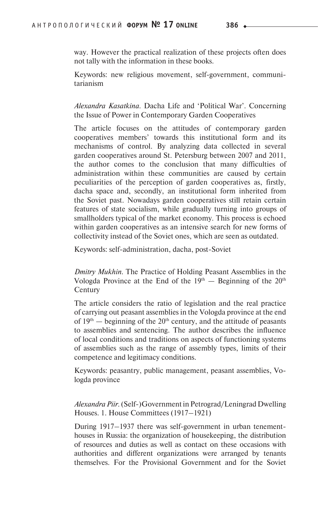way. However the practical realization of these projects often does not tally with the information in these books.

Keywords: new religious movement, self-government, communitarianism

*Alexandra Kasatkina.* Dacha Life and 'Political War'. Concerning the Issue of Power in Contemporary Garden Cooperatives

The article focuses on the attitudes of contemporary garden cooperatives members' towards this institutional form and its mechanisms of control. By analyzing data collected in several garden cooperatives around St. Petersburg between 2007 and 2011, the author comes to the conclusion that many difficulties of administration within these communities are caused by certain peculiarities of the perception of garden cooperatives as, firstly, dacha space and, secondly, an institutional form inherited from the Soviet past. Nowadays garden cooperatives still retain certain features of state socialism, while gradually turning into groups of smallholders typical of the market economy. This process is echoed within garden cooperatives as an intensive search for new forms of collectivity instead of the Soviet ones, which are seen as outdated.

Keywords: self-administration, dacha, post-Soviet

*Dmitry Mukhin.* The Practice of Holding Peasant Assemblies in the Vologda Province at the End of the  $19<sup>th</sup>$  — Beginning of the  $20<sup>th</sup>$ **Century** 

The article considers the ratio of legislation and the real practice of carrying out peasant assemblies in the Vologda province at the end of  $19<sup>th</sup>$  — beginning of the  $20<sup>th</sup>$  century, and the attitude of peasants to assemblies and sentencing. The author describes the influence of local conditions and traditions on aspects of functioning systems of assemblies such as the range of assembly types, limits of their competence and legitimacy conditions.

Keywords: peasantry, public management, peasant assemblies, Vologda province

*Alexandra Piir.* (Self-)Government in Petrograd/Leningrad Dwelling Houses. 1. House Committees (1917–1921)

During 1917–1937 there was self-government in urban tenementhouses in Russia: the organization of housekeeping, the distribution of resources and duties as well as contact on these occasions with authorities and different organizations were arranged by tenants themselves. For the Provisional Government and for the Soviet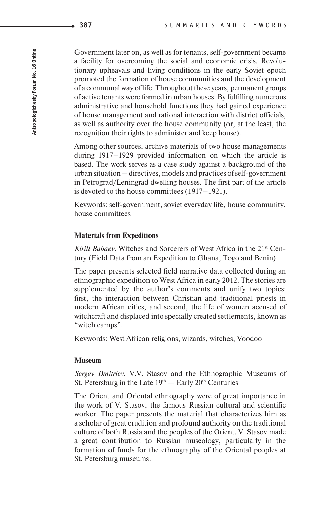Government later on, as well as for tenants, self-government became a facility for overcoming the social and economic crisis. Revolutionary upheavals and living conditions in the early Soviet epoch promoted the formation of house communities and the development of a communal way of life. Throughout these years, permanent groups of active tenants were formed in urban houses. By fulfilling numerous administrative and household functions they had gained experience of house management and rational interaction with district officials, as well as authority over the house community (or, at the least, the recognition their rights to administer and keep house).

Among other sources, archive materials of two house managements during 1917–1929 provided information on which the article is based. The work serves as a case study against a background of the urban situation – directives, models and practices of self-government in Petrograd/Leningrad dwelling houses. The first part of the article is devoted to the house committees (1917–1921).

Keywords: self-government, soviet everyday life, house community, house committees

#### **Materials from Expeditions**

*Kirill Babaev.* Witches and Sorcerers of West Africa in the 21<sup>st</sup> Century (Field Data from an Expedition to Ghana, Togo and Benin)

The paper presents selected field narrative data collected during an ethnographic expedition to West Africa in early 2012. The stories are supplemented by the author's comments and unify two topics: first, the interaction between Christian and traditional priests in modern African cities, and second, the life of women accused of witchcraft and displaced into specially created settlements, known as "witch camps".

Keywords: West African religions, wizards, witches, Voodoo

#### **Museum**

*Sergey Dmitriev.* V.V. Stasov and the Ethnographic Museums of St. Petersburg in the Late  $19<sup>th</sup>$  — Early  $20<sup>th</sup>$  Centuries

The Orient and Oriental ethnography were of great importance in the work of V. Stasov, the famous Russian cultural and scientific worker. The paper presents the material that characterizes him as a scholar of great erudition and profound authority on the traditional culture of both Russia and the peoples of the Orient. V. Stasov made a great contribution to Russian museology, particularly in the formation of funds for the ethnography of the Oriental peoples at St. Petersburg museums.

**387**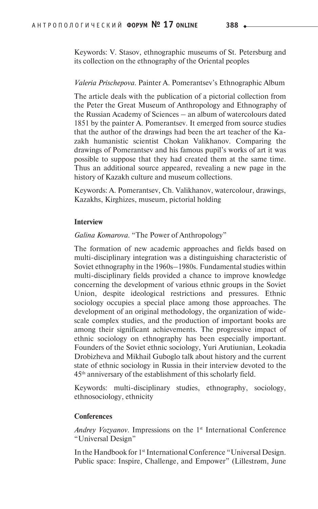Keywords: V. Stasov, ethnographic museums of St. Petersburg and its collection on the ethnography of the Oriental peoples

#### *Valeria Prischepova.* Painter A. Pomerantsev's Ethnographic Album

The article deals with the publication of a pictorial collection from the Peter the Great Museum of Anthropology and Ethnography of the Russian Academy of Sciences – an album of watercolours dated 1851 by the painter A. Pomerantsev. It emerged from source studies that the author of the drawings had been the art teacher of the Kazakh humanistic scientist Chokan Valikhanov. Comparing the drawings of Pomerantsev and his famous pupil's works of art it was possible to suppose that they had created them at the same time. Thus an additional source appeared, revealing a new page in the history of Kazakh culture and museum collections.

Keywords: A. Pomerantsev, Ch. Valikhanov, watercolour, drawings, Kazakhs, Kirghizes, museum, pictorial holding

#### **Interview**

### *Galina Komarova.* "The Power of Anthropology"

The formation of new academic approaches and fields based on multi-disciplinary integration was a distinguishing characteristic of Soviet ethnography in the 1960s–1980s. Fundamental studies within multi-disciplinary fields provided a chance to improve knowledge concerning the development of various ethnic groups in the Soviet Union, despite ideological restrictions and pressures. Ethnic sociology occupies a special place among those approaches. The development of an original methodology, the organization of widescale complex studies, and the production of important books are among their significant achievements. The progressive impact of ethnic sociology on ethnography has been especially important. Founders of the Soviet ethnic sociology, Yuri Arutiunian, Leokadia Drobizheva and Mikhail Guboglo talk about history and the current state of ethnic sociology in Russia in their interview devoted to the 45th anniversary of the establishment of this scholarly field.

Keywords: multi-disciplinary studies, ethnography, sociology, ethno sociology, ethnicity

#### **Conferences**

*Andrey Vozyanov.* Impressions on the 1<sup>st</sup> International Conference "Universal Design"

In the Handbook for 1st International Conference "Universal Design. Public space: Inspire, Challenge, and Empower" (Lillestrøm, June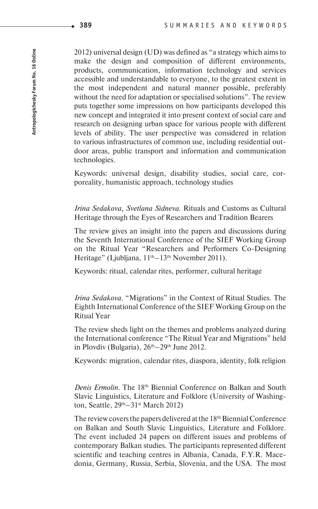2012) universal design (UD) was defined as "a strategy which aims to make the design and composition of different environments, products, communication, information technology and services accessible and understandable to everyone, to the greatest extent in the most independent and natural manner possible, preferably without the need for adaptation or specialised solutions"*.* The review puts together some impressions on how participants developed this new concept and integrated it into present context of social care and research on designing urban space for various people with different levels of ability. The user perspective was considered in relation to various infrastructures of common use, including residential outdoor areas, public transport and information and communication technologies.

Keywords: universal design, disability studies, social care, corporeality, humanistic approach, technology studies

*Irina Sedakova, Sve tlana Sidneva.* Rituals and Customs as Cultural Heritage through the Eyes of Researchers and Tradition Bearers

The review gives an insight into the papers and discussions during the Seventh International Conference of the SIEF Working Group on the Ritual Year "Researchers and Performers Co-Designing Heritage" (Ljubljana,  $11<sup>th</sup>-13<sup>th</sup>$  November 2011).

Keywords: ritual, calendar rites, performer, cultural heritage

*Irina Sedakova.* "Migrations" in the Context of Ritual Studies. The Eighth International Conference of the SIEF Working Group on the Ritual Year

The review sheds light on the themes and problems analyzed during the International conference "The Ritual Year and Migrations" held in Plovdiv (Bulgaria),  $26<sup>th</sup> - 29<sup>th</sup>$  June 2012.

Keywords: migration, calendar rites, diaspora, identity, folk religion

*Denis Ermolin*. The 18th Biennial Conference on Balkan and South Slavic Linguistics, Literature and Folklore (University of Washington, Seattle, 29th–31st March 2012)

The review covers the papers delivered at the 18<sup>th</sup> Biennial Conference on Balkan and South Slavic Linguistics, Literature and Folklore. The event included 24 papers on different issues and problems of contemporary Balkan studies. The participants represented different scientific and teaching centres in Albania, Canada, F.Y.R. Macedonia, Germany, Russia, Serbia, Slovenia, and the USA. The most

**389**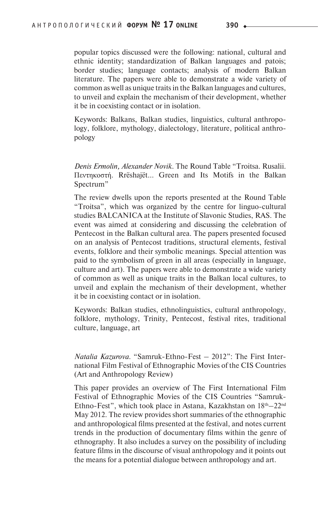popular topics discussed were the following: national, cultural and ethnic identity; standardization of Balkan languages and patois; border studies; language contacts; analysis of modern Balkan literature. The papers were able to demonstrate a wide variety of common as well as unique traits in the Balkan languages and cultures, to unveil and explain the mechanism of their development, whether it be in coexisting contact or in isolation.

Keywords: Balkans, Balkan studies, linguistics, cultural anthropology, folklore, mythology, dialectology, literature, political anthropology

*Denis Ermolin, Alexander Novik.* The Round Table "Troitsa. Rusalii. Πεντηκοστή. Rrёshajёt… Green and Its Motifs in the Balkan Spectrum"

The review dwells upon the reports presented at the Round Table "Troitsa", which was organized by the centre for linguo-cultural studies BALCANICA at the Institute of Slavonic Studies, RAS. The event was aimed at considering and discussing the celebration of Pentecost in the Balkan cultural area. The papers presented focused on an analysis of Pentecost traditions, structural elements, festival events, folklore and their symbolic meanings. Special attention was paid to the symbolism of green in all areas (especially in language, culture and art). The papers were able to demonstrate a wide variety of common as well as unique traits in the Balkan local cultures, to unveil and explain the mechanism of their development, whether it be in coexisting contact or in isolation.

Keywords: Balkan studies, ethnolinguistics, cultural anthropology, folklore, mythology, Trinity, Pentecost, festival rites, traditional culture, language, art

*Natalia Kazurova.* "Samruk-Ethno-Fest – 2012": The First International Film Festival of Ethnographic Movies of the CIS Countries (Art and Anthropology Review)

This paper provides an overview of The First International Film Festival of Ethnographic Movies of the CIS Countries "Samruk-Ethno-Fest", which took place in Astana, Kazakhstan on 18<sup>th</sup>–22<sup>nd</sup> May 2012. The review provides short summaries of the ethnographic and anthropological films presented at the festival, and notes current trends in the production of documentary films within the genre of ethnography. It also includes a survey on the possibility of including feature films in the discourse of visual anthropology and it points out the means for a potential dialogue between anthropology and art.